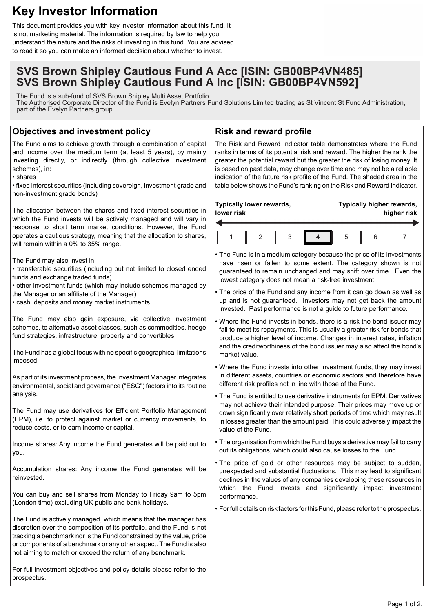# **Key Investor Information**

This document provides you with key investor information about this fund. It is not marketing material. The information is required by law to help you understand the nature and the risks of investing in this fund. You are advised to read it so you can make an informed decision about whether to invest.

## **SVS Brown Shipley Cautious Fund A Acc [ISIN: GB00BP4VN485] SVS Brown Shipley Cautious Fund A Inc [ISIN: GB00BP4VN592]**

The Fund is a sub-fund of SVS Brown Shipley Multi Asset Portfolio. The Authorised Corporate Director of the Fund is Evelyn Partners Fund Solutions Limited trading as St Vincent St Fund Administration, part of the Evelyn Partners group.

### **Objectives and investment policy**

The Fund aims to achieve growth through a combination of capital and income over the medium term (at least 5 years), by mainly investing directly, or indirectly (through collective investment schemes), in:

#### • shares

• fixed interest securities (including sovereign, investment grade and non-investment grade bonds)

The allocation between the shares and fixed interest securities in which the Fund invests will be actively managed and will vary in response to short term market conditions. However, the Fund operates a cautious strategy, meaning that the allocation to shares, will remain within a 0% to 35% range.

The Fund may also invest in:

- transferable securities (including but not limited to closed ended funds and exchange traded funds)
- other investment funds (which may include schemes managed by the Manager or an affiliate of the Manager)
- cash, deposits and money market instruments

The Fund may also gain exposure, via collective investment schemes, to alternative asset classes, such as commodities, hedge fund strategies, infrastructure, property and convertibles.

The Fund has a global focus with no specific geographical limitations imposed.

As part of its investment process, the Investment Manager integrates environmental, social and governance ("ESG") factors into its routine analysis.

The Fund may use derivatives for Efficient Portfolio Management (EPM), i.e. to protect against market or currency movements, to reduce costs, or to earn income or capital.

Income shares: Any income the Fund generates will be paid out to you.

Accumulation shares: Any income the Fund generates will be reinvested.

You can buy and sell shares from Monday to Friday 9am to 5pm (London time) excluding UK public and bank holidays.

The Fund is actively managed, which means that the manager has discretion over the composition of its portfolio, and the Fund is not tracking a benchmark nor is the Fund constrained by the value, price or components of a benchmark or any other aspect. The Fund is also not aiming to match or exceed the return of any benchmark.

For full investment objectives and policy details please refer to the prospectus.

### **Risk and reward profile**

The Risk and Reward Indicator table demonstrates where the Fund ranks in terms of its potential risk and reward. The higher the rank the greater the potential reward but the greater the risk of losing money. It is based on past data, may change over time and may not be a reliable indication of the future risk profile of the Fund. The shaded area in the table below shows the Fund's ranking on the Risk and Reward Indicator.

| Typically lower rewards,<br>lower risk |  |  |  | Typically higher rewards,<br>higher risk |  |  |
|----------------------------------------|--|--|--|------------------------------------------|--|--|
|                                        |  |  |  |                                          |  |  |
|                                        |  |  |  |                                          |  |  |

• The Fund is in a medium category because the price of its investments have risen or fallen to some extent. The category shown is not guaranteed to remain unchanged and may shift over time. Even the lowest category does not mean a risk-free investment.

• The price of the Fund and any income from it can go down as well as up and is not guaranteed. Investors may not get back the amount invested. Past performance is not a guide to future performance.

• Where the Fund invests in bonds, there is a risk the bond issuer may fail to meet its repayments. This is usually a greater risk for bonds that produce a higher level of income. Changes in interest rates, inflation and the creditworthiness of the bond issuer may also affect the bond's market value.

• Where the Fund invests into other investment funds, they may invest in different assets, countries or economic sectors and therefore have different risk profiles not in line with those of the Fund.

• The Fund is entitled to use derivative instruments for EPM. Derivatives may not achieve their intended purpose. Their prices may move up or down significantly over relatively short periods of time which may result in losses greater than the amount paid. This could adversely impact the value of the Fund.

• The organisation from which the Fund buys a derivative may fail to carry out its obligations, which could also cause losses to the Fund.

• The price of gold or other resources may be subject to sudden, unexpected and substantial fluctuations. This may lead to significant declines in the values of any companies developing these resources in which the Fund invests and significantly impact investment performance.

• For full details on risk factors for this Fund, please refer to the prospectus.